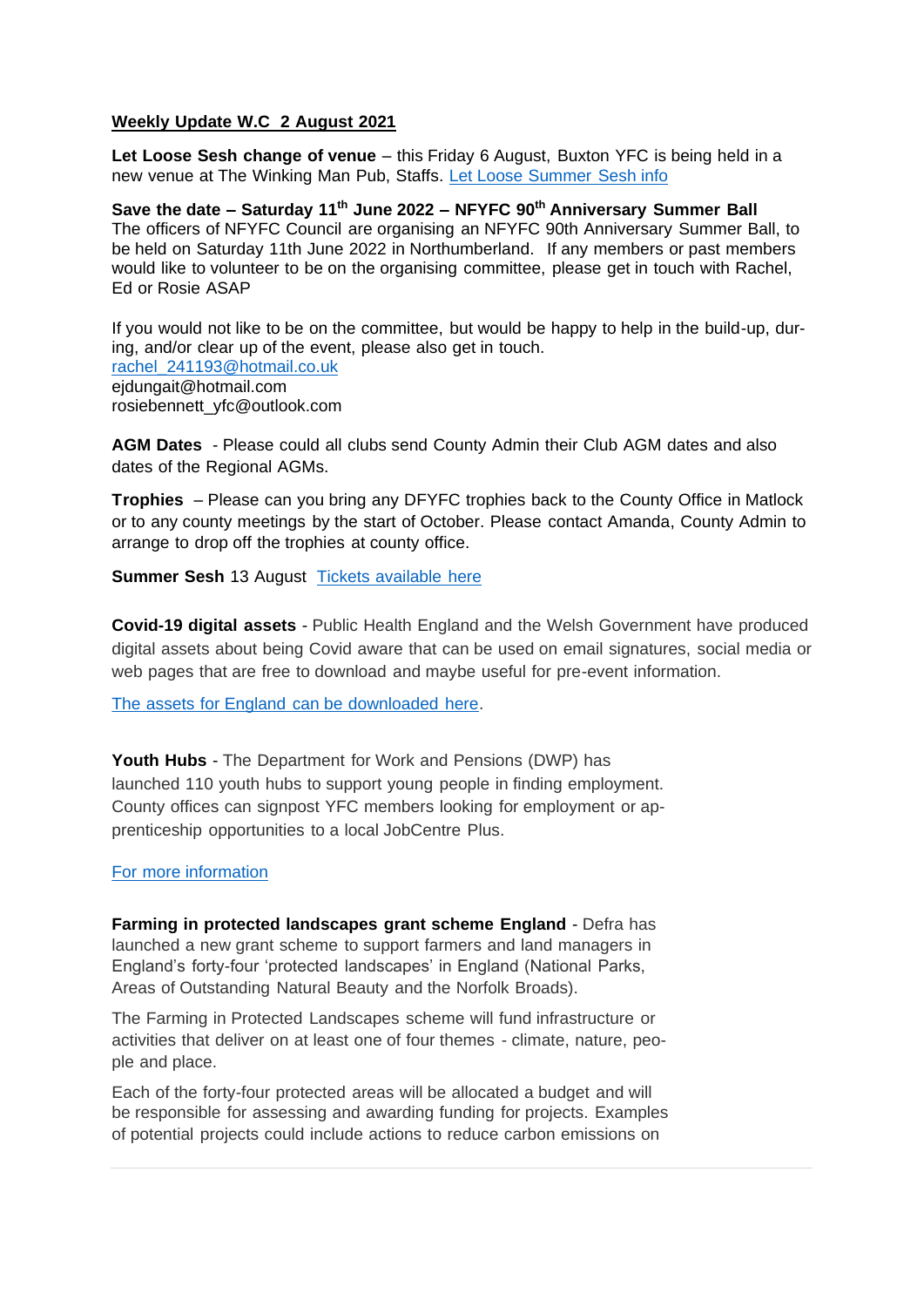## **Weekly Update W.C 2 August 2021**

**Let Loose Sesh change of venue** – this Friday 6 August, Buxton YFC is being held in a new venue at The Winking Man Pub, Staffs. [Let Loose Summer Sesh info](https://facebook.com/events/s/buxton-yfc-let-loose-sesh-sk13/541073513698258/)

**Save the date – Saturday 11th June 2022 – NFYFC 90th Anniversary Summer Ball** The officers of NFYFC Council are organising an NFYFC 90th Anniversary Summer Ball, to be held on Saturday 11th June 2022 in Northumberland. If any members or past members would like to volunteer to be on the organising committee, please get in touch with Rachel, Ed or Rosie ASAP

If you would not like to be on the committee, but would be happy to help in the build-up, during, and/or clear up of the event, please also get in touch. [rachel\\_241193@hotmail.co.uk](mailto:rachel_241193@hotmail.co.uk) [ejdungait@hotmail.com](mailto:ejdungait@hotmail.com) [rosiebennett\\_yfc@outlook.com](mailto:rosiebennett_yfc@outlook.com)

**AGM Dates** - Please could all clubs send County Admin their Club AGM dates and also dates of the Regional AGMs.

**Trophies** – Please can you bring any DFYFC trophies back to the County Office in Matlock or to any county meetings by the start of October. Please contact Amanda, County Admin to arrange to drop off the trophies at county office.

**Summer Sesh** 13 August [Tickets available here](https://www.eventbrite.com/e/derbyshire-yfcs-big-summer-sesh-tickets-165011364433)

**Covid-19 digital assets** - Public Health England and the Welsh Government have produced digital assets about being Covid aware that can be used on email signatures, social media or web pages that are free to download and maybe useful for pre-event information.

[The assets for England can be downloaded here.](http://nfyfc.org.uk/Onceweekly_news?articleid=12618#:~:text=The%20assets%20for%20England%20can%20be%20downloaded%20here)

**Youth Hubs** - The Department for Work and Pensions (DWP) has launched 110 youth hubs to support young people in finding employment. County offices can signpost YFC members looking for employment or apprenticeship opportunities to a local JobCentre Plus.

## [For more information](https://www.gov.uk/government/news/over-110-new-youth-hubs-offer-job-help)

**Farming in protected landscapes grant scheme England** - Defra has launched a new grant scheme to support farmers and land managers in England's forty-four 'protected landscapes' in England (National Parks, Areas of Outstanding Natural Beauty and the Norfolk Broads).

The Farming in Protected Landscapes scheme will fund infrastructure or activities that deliver on at least one of four themes - climate, nature, people and place.

Each of the forty-four protected areas will be allocated a budget and will be responsible for assessing and awarding funding for projects. Examples of potential projects could include actions to reduce carbon emissions on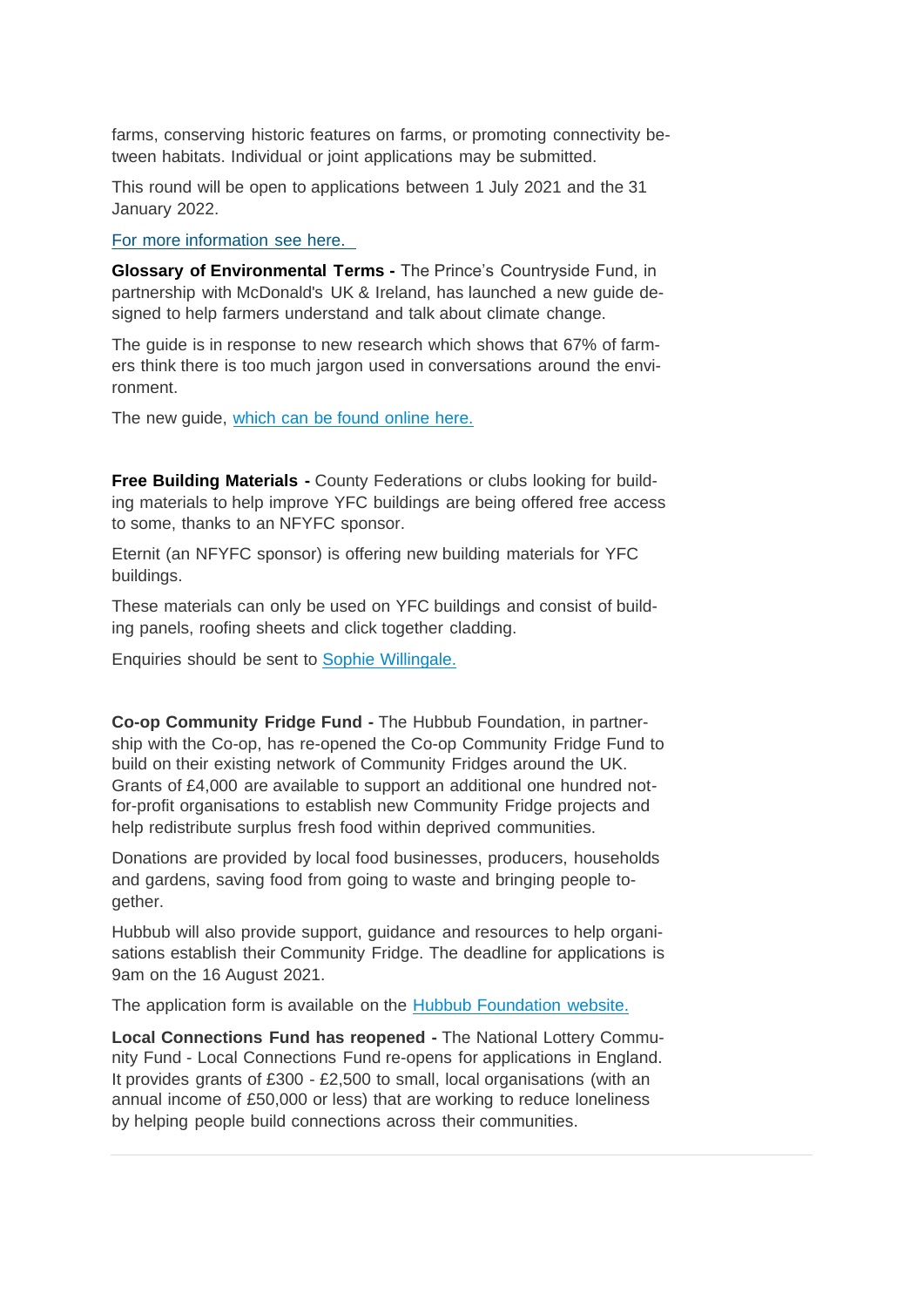farms, conserving historic features on farms, or promoting connectivity between habitats. Individual or joint applications may be submitted.

This round will be open to applications between 1 July 2021 and the 31 January 2022.

[For more information see here.](https://www.gov.uk/guidance/funding-for-farmers-in-protected-landscapes) 

**Glossary of Environmental Terms -** The Prince's Countryside Fund, in partnership with McDonald's UK & Ireland, has launched a new guide designed to help farmers understand and talk about climate change.

The guide is in response to new research which shows that 67% of farmers think there is too much jargon used in conversations around the environment.

The new quide, [which can be found](https://www.princescountrysidefund.org.uk/how-we-help/family-farm-businesses/environment-glossary/) online here.

**Free Building Materials -** County Federations or clubs looking for building materials to help improve YFC buildings are being offered free access to some, thanks to an NFYFC sponsor.

Eternit (an NFYFC sponsor) is offering new building materials for YFC buildings.

These materials can only be used on YFC buildings and consist of building panels, roofing sheets and click together cladding.

Enquiries should be sent to [Sophie Willingale.](mailto:sophie.willingale@nfyfc.org.uk)

**Co-op Community Fridge Fund -** The Hubbub Foundation, in partnership with the Co-op, has re-opened the Co-op Community Fridge Fund to build on their existing network of Community Fridges around the UK. Grants of £4,000 are available to support an additional one hundred notfor-profit organisations to establish new Community Fridge projects and help redistribute surplus fresh food within deprived communities.

Donations are provided by local food businesses, producers, households and gardens, saving food from going to waste and bringing people together.

Hubbub will also provide support, guidance and resources to help organisations establish their Community Fridge. The deadline for applications is 9am on the 16 August 2021.

The application form is available on the [Hubbub Foundation website.](https://www.hubbub.org.uk/grant-funding-for-community-fridge)

**Local Connections Fund has reopened -** The National Lottery Community Fund - Local Connections Fund re-opens for applications in England. It provides grants of £300 - £2,500 to small, local organisations (with an annual income of £50,000 or less) that are working to reduce loneliness by helping people build connections across their communities.